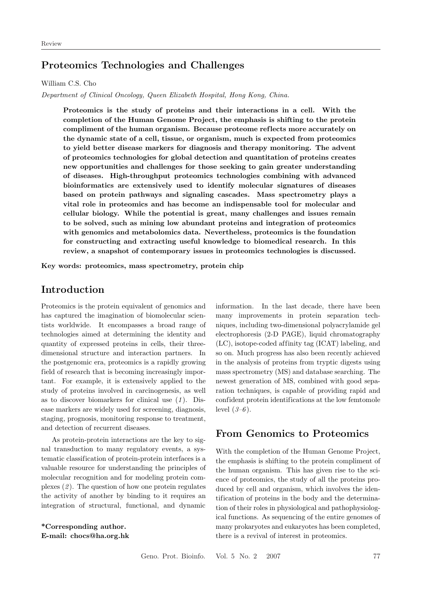# **Proteomics Technologies and Challenges**

William C.S. Cho

*Department of Clinical Oncology, Queen Elizabeth Hospital, Hong Kong, China.*

**Proteomics is the study of proteins and their interactions in a cell. With the completion of the Human Genome Project, the emphasis is shifting to the protein compliment of the human organism. Because proteome ref lects more accurately on the dynamic state of a cell, tissue, or organism, much is expected from proteomics to yield better disease markers for diagnosis and therapy monitoring. The advent of proteomics technologies for global detection and quantitation of proteins creates new opportunities and challenges for those seeking to gain greater understanding of diseases. High-throughput proteomics technologies combining with advanced bioinformatics are extensively used to identify molecular signatures of diseases based on protein pathways and signaling cascades. Mass spectrometry plays a vital role in proteomics and has become an indispensable tool for molecular and cellular biology. While the potential is great, many challenges and issues remain to be solved, such as mining low abundant proteins and integration of proteomics with genomics and metabolomics data. Nevertheless, proteomics is the foundation for constructing and extracting useful knowledge to biomedical research. In this review, a snapshot of contemporary issues in proteomics technologies is discussed.**

**Key words: proteomics, mass spectrometry, protein chip**

## **Introduction**

Proteomics is the protein equivalent of genomics and has captured the imagination of biomolecular scientists worldwide. It encompasses a broad range of technologies aimed at determining the identity and quantity of expressed proteins in cells, their threedimensional structure and interaction partners. In the postgenomic era, proteomics is a rapidly growing field of research that is becoming increasingly important. For example, it is extensively applied to the study of proteins involved in carcinogenesis, as well as to discover biomarkers for clinical use (*1* ). Disease markers are widely used for screening, diagnosis, staging, prognosis, monitoring response to treatment, and detection of recurrent diseases.

As protein-protein interactions are the key to signal transduction to many regulatory events, a systematic classification of protein-protein interfaces is a valuable resource for understanding the principles of molecular recognition and for modeling protein complexes (*2* ). The question of how one protein regulates the activity of another by binding to it requires an integration of structural, functional, and dynamic

**\*Corresponding author. E-mail: chocs@ha.org.hk** information. In the last decade, there have been many improvements in protein separation techniques, including two-dimensional polyacrylamide gel electrophoresis (2-D PAGE), liquid chromatography  $(LC)$ , isotope-coded affinity tag  $(ICAT)$  labeling, and so on. Much progress has also been recently achieved in the analysis of proteins from tryptic digests using mass spectrometry (MS) and database searching. The newest generation of MS, combined with good separation techniques, is capable of providing rapid and confident protein identifications at the low femtomole level (*3–6* ).

## **From Genomics to Proteomics**

With the completion of the Human Genome Project, the emphasis is shifting to the protein compliment of the human organism. This has given rise to the science of proteomics, the study of all the proteins produced by cell and organism, which involves the identification of proteins in the body and the determination of their roles in physiological and pathophysiological functions. As sequencing of the entire genomes of many prokaryotes and eukaryotes has been completed, there is a revival of interest in proteomics.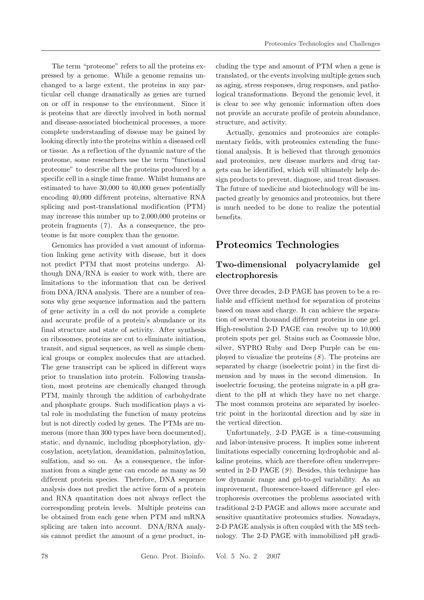The term "proteome" refers to all the proteins expressed by a genome. While a genome remains unchanged to a large extent, the proteins in any particular cell change dramatically as genes are turned on or off in response to the environment. Since it is proteins that are directly involved in both normal and disease-associated biochemical processes, a more complete understanding of disease may be gained by looking directly into the proteins within a diseased cell or tissue. As a reflection of the dynamic nature of the proteome, some researchers use the term "functional proteome" to describe all the proteins produced by a specific cell in a single time frame. Whilst humans are estimated to have 30,000 to 40,000 genes potentially encoding 40,000 different proteins, alternative RNA splicing and post-translational modification (PTM) may increase this number up to 2,000,000 proteins or protein fragments (*7* ). As a consequence, the proteome is far more complex than the genome.

Genomics has provided a vast amount of information linking gene activity with disease, but it does not predict PTM that most proteins undergo. Although DNA/RNA is easier to work with, there are limitations to the information that can be derived from DNA/RNA analysis. There are a number of reasons why gene sequence information and the pattern of gene activity in a cell do not provide a complete and accurate profile of a protein's abundance or its final structure and state of activity. After synthesis on ribosomes, proteins are cut to eliminate initiation, transit, and signal sequences, as well as simple chemical groups or complex molecules that are attached. The gene transcript can be spliced in different ways prior to translation into protein. Following translation, most proteins are chemically changed through PTM, mainly through the addition of carbohydrate and phosphate groups. Such modification plays a vital role in modulating the function of many proteins but is not directly coded by genes. The PTMs are numerous (more than 300 types have been documented), static, and dynamic, including phosphorylation, glycosylation, acetylation, deamidation, palmitoylation, sulfation, and so on. As a consequence, the information from a single gene can encode as many as 50 different protein species. Therefore, DNA sequence analysis does not predict the active form of a protein and RNA quantitation does not always reflect the corresponding protein levels. Multiple proteins can be obtained from each gene when PTM and mRNA splicing are taken into account. DNA/RNA analysis cannot predict the amount of a gene product, including the type and amount of PTM when a gene is translated, or the events involving multiple genes such as aging, stress responses, drug responses, and pathological transformations. Beyond the genomic level, it is clear to see why genomic information often does not provide an accurate profile of protein abundance, structure, and activity.

Actually, genomics and proteomics are complementary fields, with proteomics extending the functional analysis. It is believed that through genomics and proteomics, new disease markers and drug targets can be identified, which will ultimately help design products to prevent, diagnose, and treat diseases. The future of medicine and biotechnology will be impacted greatly by genomics and proteomics, but there is much needed to be done to realize the potential benefits.

# **Proteomics Technologies**

## **Two-dimensional polyacrylamide gel electrophoresis**

Over three decades, 2-D PAGE has proven to be a reliable and efficient method for separation of proteins based on mass and charge. It can achieve the separation of several thousand dif ferent proteins in one gel. High-resolution 2-D PAGE can resolve up to 10,000 protein spots per gel. Stains such as Coomassie blue, silver, SYPRO Ruby and Deep Purple can be employed to visualize the proteins (*8* ). The proteins are separated by charge (isoelectric point) in the first dimension and by mass in the second dimension. In isoelectric focusing, the proteins migrate in a pH gradient to the pH at which they have no net charge. The most common proteins are separated by isoelectric point in the horizontal direction and by size in the vertical direction.

Unfortunately, 2-D PAGE is a time-consuming and labor-intensive process. It implies some inherent limitations especially concerning hydrophobic and alkaline proteins, which are therefore often underrepresented in 2-D PAGE (*9* ). Besides, this technique has low dynamic range and gel-to-gel variability. As an improvement, fluorescence-based difference gel electrophoresis overcomes the problems associated with traditional 2-D PAGE and allows more accurate and sensitive quantitative proteomics studies. Nowadays, 2-D PAGE analysis is often coupled with the MS technology. The 2-D PAGE with immobilized pH gradi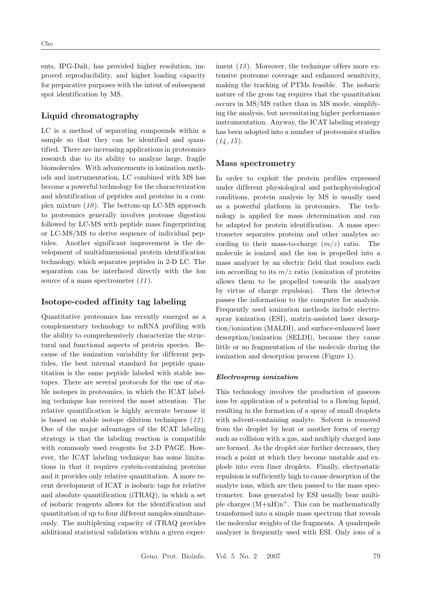ents, IPG-Dalt, has provided higher resolution, improved reproducibility, and higher loading capacity for preparative purposes with the intent of subsequent spot identification by MS.

## **Liquid chromatography**

LC is a method of separating compounds within a sample so that they can be identified and quantified. There are increasing applications in proteomics research due to its ability to analyze large, fragile biomolecules. With advancements in ionization methods and instrumentation, LC combined with MS has become a powerful technology for the characterization and identification of peptides and proteins in a complex mixture (*10* ). The bottom-up LC-MS approach to proteomics generally involves protease digestion followed by LC-MS with peptide mass fingerprinting or LC-MS/MS to derive sequence of individual peptides. Another significant improvement is the development of multidimensional protein identification technology, which separates peptides in 2-D LC. The separation can be interfaced directly with the ion source of a mass spectrometer (*11* ).

### **Isotope-coded affinity tag labeling**

Quantitative proteomics has recently emerged as a complementary technology to mRNA profiling with the ability to comprehensively characterize the structural and functional aspects of protein species. Because of the ionization variability for different peptides, the best internal standard for peptide quantitation is the same peptide labeled with stable isotopes. There are several protocols for the use of stable isotopes in proteomics, in which the ICAT labeling technique has received the most attention. The relative quantification is highly accurate because it is based on stable isotope dilution techniques (*12* ). One of the major advantages of the ICAT labeling strategy is that the labeling reaction is compatible with commonly used reagents for 2-D PAGE. However, the ICAT labeling technique has some limitations in that it requires cystein-containing proteins and it provides only relative quantitation. A more recent development of ICAT is isobaric tags for relative and absolute quantification (iTRAQ), in which a set of isobaric reagents allows for the identification and quantitation of up to four dif ferent samples simultaneously. The multiplexing capacity of iTRAQ provides additional statistical validation within a given experiment (13). Moreover, the technique offers more extensive proteome coverage and enhanced sensitivity, making the tracking of PTMs feasible. The isobaric nature of the gross tag requires that the quantitation occurs in MS/MS rather than in MS mode, simplifying the analysis, but necessitating higher performance instrumentation. Anyway, the ICAT labeling strategy has been adopted into a number of proteomics studies  $(14, 15)$ .

### **Mass spectrometry**

In order to exploit the protein profiles expressed under dif ferent physiological and pathophysiological conditions, protein analysis by MS is usually used as a powerful platform in proteomics. The technology is applied for mass determination and can be adapted for protein identification. A mass spectrometer separates proteins and other analytes according to their mass-to-charge  $(m/z)$  ratio. The molecule is ionized and the ion is propelled into a mass analyzer by an electric field that resolves each ion according to its  $m/z$  ratio (ionization of proteins allows them to be propelled towards the analyzer by virtue of charge repulsion). Then the detector passes the information to the computer for analysis. Frequently used ionization methods include electrospray ionization (ESI), matrix-assisted laser desorption/ionization (MALDI), and surface-enhanced laser desorption/ionization (SELDI), because they cause little or no fragmentation of the molecule during the ionization and desorption process (Figure 1).

#### *Electrospray ionization*

This technology involves the production of gaseous ions by application of a potential to a flowing liquid, resulting in the formation of a spray of small droplets with solvent-containing analyte. Solvent is removed from the droplet by heat or another form of energy such as collision with a gas, and multiply charged ions are formed. As the droplet size further decreases, they reach a point at which they become unstable and explode into even finer droplets. Finally, electrostatic repulsion is suf ficiently high to cause desorption of the analyte ions, which are then passed to the mass spectrometer. Ions generated by ESI usually bear multiple charges  $(M+nH)n^{+}$ . This can be mathematically transformed into a simple mass spectrum that reveals the molecular weights of the fragments. A quadrupole analyzer is frequently used with ESI. Only ions of a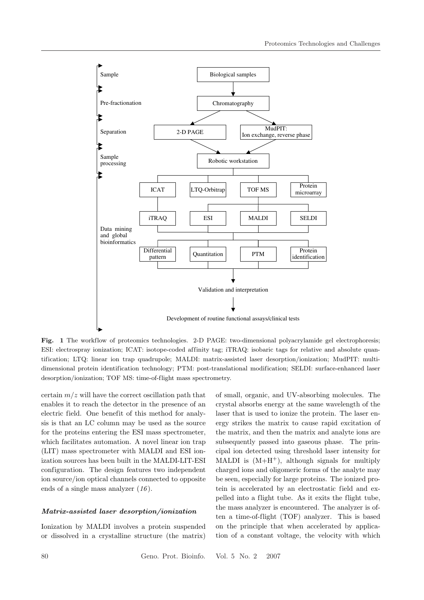

**Fig. 1** The workflow of proteomics technologies. 2-D PAGE: two-dimensional polyacrylamide gel electrophoresis; ESI: electrospray ionization; ICAT: isotope-coded affinity tag; iTRAQ: isobaric tags for relative and absolute quantification; LTQ: linear ion trap quadrupole; MALDI: matrix-assisted laser desorption/ionization; MudPIT: multidimensional protein identification technology; PTM: post-translational modification; SELDI: surface-enhanced laser desorption/ionization; TOF MS: time-of-flight mass spectrometry.

certain  $m/z$  will have the correct oscillation path that enables it to reach the detector in the presence of an electric field. One benefit of this method for analysis is that an LC column may be used as the source for the proteins entering the ESI mass spectrometer, which facilitates automation. A novel linear ion trap (LIT) mass spectrometer with MALDI and ESI ionization sources has been built in the MALDI-LIT-ESI configuration. The design features two independent ion source/ion optical channels connected to opposite ends of a single mass analyzer (*16* ).

### *Matrix-assisted laser desorption/ionization*

Ionization by MALDI involves a protein suspended or dissolved in a crystalline structure (the matrix)

of small, organic, and UV-absorbing molecules. The crystal absorbs energy at the same wavelength of the laser that is used to ionize the protein. The laser energy strikes the matrix to cause rapid excitation of the matrix, and then the matrix and analyte ions are subsequently passed into gaseous phase. The principal ion detected using threshold laser intensity for MALDI is  $(M+H^+)$ , although signals for multiply charged ions and oligomeric forms of the analyte may be seen, especially for large proteins. The ionized protein is accelerated by an electrostatic field and expelled into a flight tube. As it exits the flight tube, the mass analyzer is encountered. The analyzer is often a time-of-flight (TOF) analyzer. This is based on the principle that when accelerated by application of a constant voltage, the velocity with which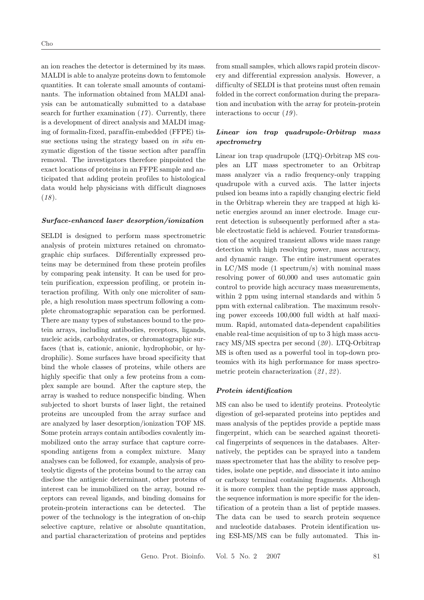an ion reaches the detector is determined by its mass. MALDI is able to analyze proteins down to femtomole quantities. It can tolerate small amounts of contaminants. The information obtained from MALDI analysis can be automatically submitted to a database search for further examination (*17* ). Currently, there is a development of direct analysis and MALDI imaging of formalin-fixed, paraffin-embedded (FFPE) tissue sections using the strategy based on *in situ* enzymatic digestion of the tissue section after paraffin removal. The investigators therefore pinpointed the exact locations of proteins in an FFPE sample and anticipated that adding protein profiles to histological data would help physicians with difficult diagnoses (*18* ).

#### *Surface-enhanced laser desorption/ionization*

SELDI is designed to perform mass spectrometric analysis of protein mixtures retained on chromatographic chip surfaces. Dif ferentially expressed proteins may be determined from these protein profiles by comparing peak intensity. It can be used for protein purification, expression profiling, or protein interaction profiling. With only one microliter of sample, a high resolution mass spectrum following a complete chromatographic separation can be performed. There are many types of substances bound to the protein arrays, including antibodies, receptors, ligands, nucleic acids, carbohydrates, or chromatographic surfaces (that is, cationic, anionic, hydrophobic, or hydrophilic). Some surfaces have broad specificity that bind the whole classes of proteins, while others are highly specific that only a few proteins from a complex sample are bound. After the capture step, the array is washed to reduce nonspecific binding. When subjected to short bursts of laser light, the retained proteins are uncoupled from the array surface and are analyzed by laser desorption/ionization TOF MS. Some protein arrays contain antibodies covalently immobilized onto the array surface that capture corresponding antigens from a complex mixture. Many analyses can be followed, for example, analysis of proteolytic digests of the proteins bound to the array can disclose the antigenic determinant, other proteins of interest can be immobilized on the array, bound receptors can reveal ligands, and binding domains for protein-protein interactions can be detected. The power of the technology is the integration of on-chip selective capture, relative or absolute quantitation, and partial characterization of proteins and peptides

from small samples, which allows rapid protein discovery and dif ferential expression analysis. However, a difficulty of SELDI is that proteins must often remain folded in the correct conformation during the preparation and incubation with the array for protein-protein interactions to occur (*19* ).

## *Linear ion trap quadrupole-Orbitrap mass spectrometry*

Linear ion trap quadrupole (LTQ)-Orbitrap MS couples an LIT mass spectrometer to an Orbitrap mass analyzer via a radio frequency-only trapping quadrupole with a curved axis. The latter injects pulsed ion beams into a rapidly changing electric field in the Orbitrap wherein they are trapped at high kinetic energies around an inner electrode. Image current detection is subsequently performed after a stable electrostatic field is achieved. Fourier transformation of the acquired transient allows wide mass range detection with high resolving power, mass accuracy, and dynamic range. The entire instrument operates in LC/MS mode (1 spectrum/s) with nominal mass resolving power of 60,000 and uses automatic gain control to provide high accuracy mass measurements, within 2 ppm using internal standards and within 5 ppm with external calibration. The maximum resolving power exceeds 100,000 full width at half maximum. Rapid, automated data-dependent capabilities enable real-time acquisition of up to 3 high mass accuracy MS/MS spectra per second (*20* ). LTQ-Orbitrap MS is often used as a powerful tool in top-down proteomics with its high performance for mass spectrometric protein characterization (*21* , *22* ).

#### *Protein identification*

MS can also be used to identify proteins. Proteolytic digestion of gel-separated proteins into peptides and mass analysis of the peptides provide a peptide mass fingerprint, which can be searched against theoretical fingerprints of sequences in the databases. Alternatively, the peptides can be sprayed into a tandem mass spectrometer that has the ability to resolve peptides, isolate one peptide, and dissociate it into amino or carboxy terminal containing fragments. Although it is more complex than the peptide mass approach, the sequence information is more specific for the identification of a protein than a list of peptide masses. The data can be used to search protein sequence and nucleotide databases. Protein identification using ESI-MS/MS can be fully automated. This in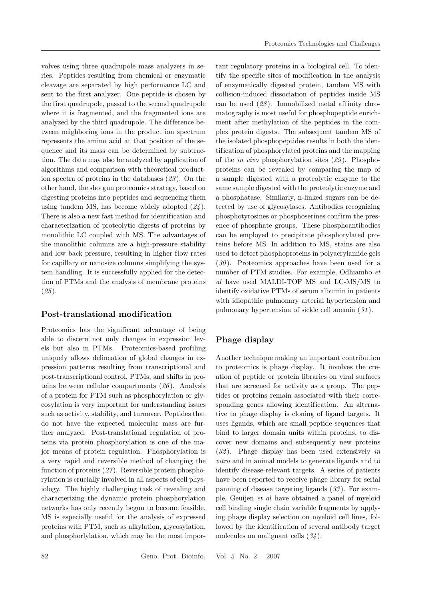volves using three quadrupole mass analyzers in series. Peptides resulting from chemical or enzymatic cleavage are separated by high performance LC and sent to the first analyzer. One peptide is chosen by the first quadrupole, passed to the second quadrupole where it is fragmented, and the fragmented ions are analyzed by the third quadrupole. The difference between neighboring ions in the product ion spectrum represents the amino acid at that position of the sequence and its mass can be determined by subtraction. The data may also be analyzed by application of algorithms and comparison with theoretical production spectra of proteins in the databases (*23* ). On the other hand, the shotgun proteomics strategy, based on digesting proteins into peptides and sequencing them using tandem MS, has become widely adopted (*24* ). There is also a new fast method for identification and characterization of proteolytic digests of proteins by monolithic LC coupled with MS. The advantages of the monolithic columns are a high-pressure stability and low back pressure, resulting in higher flow rates for capillary or nanosize columns simplifying the system handling. It is successfully applied for the detection of PTMs and the analysis of membrane proteins (*25* ).

## **Post-translational modif ication**

Proteomics has the significant advantage of being able to discern not only changes in expression levels but also in PTMs. Proteomics-based profiling uniquely allows delineation of global changes in expression patterns resulting from transcriptional and post-transcriptional control, PTMs, and shifts in proteins between cellular compartments (*26* ). Analysis of a protein for PTM such as phosphorylation or glycosylation is very important for understanding issues such as activity, stability, and turnover. Peptides that do not have the expected molecular mass are further analyzed. Post-translational regulation of proteins via protein phosphorylation is one of the major means of protein regulation. Phosphorylation is a very rapid and reversible method of changing the function of proteins (*27* ). Reversible protein phosphorylation is crucially involved in all aspects of cell physiology. The highly challenging task of revealing and characterizing the dynamic protein phosphorylation networks has only recently begun to become feasible. MS is especially useful for the analysis of expressed proteins with PTM, such as alkylation, glycosylation, and phosphorlylation, which may be the most impor-

tant regulatory proteins in a biological cell. To identify the specific sites of modification in the analysis of enzymatically digested protein, tandem MS with collision-induced dissociation of peptides inside MS can be used  $(28)$ . Immobilized metal affinity chromatography is most useful for phosphopeptide enrichment after methylation of the peptides in the complex protein digests. The subsequent tandem MS of the isolated phosphopeptides results in both the identification of phosphorylated proteins and the mapping of the *in vivo* phosphorylation sites (*29* ). Phosphoproteins can be revealed by comparing the map of a sample digested with a proteolytic enzyme to the same sample digested with the proteolytic enzyme and a phosphatase. Similarly, n-linked sugars can be detected by use of glycosylases. Antibodies recognizing phosphotyrosines or phosphoserines confirm the presence of phosphate groups. These phosphoantibodies can be employed to precipitate phosphorylated proteins before MS. In addition to MS, stains are also used to detect phosphoproteins in polyacrylamide gels (*30* ). Proteomics approaches have been used for a number of PTM studies. For example, Odhiambo *et al* have used MALDI-TOF MS and LC-MS/MS to identify oxidative PTMs of serum albumin in patients with idiopathic pulmonary arterial hypertension and pulmonary hypertension of sickle cell anemia (*31* ).

## **Phage display**

Another technique making an important contribution to proteomics is phage display. It involves the creation of peptide or protein libraries on viral surfaces that are screened for activity as a group. The peptides or proteins remain associated with their corresponding genes allowing identification. An alternative to phage display is cloning of ligand targets. It uses ligands, which are small peptide sequences that bind to larger domain units within proteins, to discover new domains and subsequently new proteins (*32* ). Phage display has been used extensively *in vitro* and in animal models to generate ligands and to identify disease-relevant targets. A series of patients have been reported to receive phage library for serial panning of disease targeting ligands (*33* ). For example, Geuijen *et al* have obtained a panel of myeloid cell binding single chain variable fragments by applying phage display selection on myeloid cell lines, followed by the identification of several antibody target molecules on malignant cells (*34* ).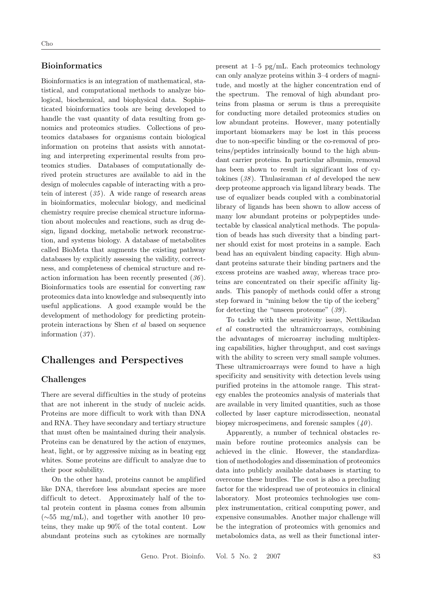## **Bioinformatics**

Bioinformatics is an integration of mathematical, statistical, and computational methods to analyze biological, biochemical, and biophysical data. Sophisticated bioinformatics tools are being developed to handle the vast quantity of data resulting from genomics and proteomics studies. Collections of proteomics databases for organisms contain biological information on proteins that assists with annotating and interpreting experimental results from proteomics studies. Databases of computationally derived protein structures are available to aid in the design of molecules capable of interacting with a protein of interest (*35* ). A wide range of research areas in bioinformatics, molecular biology, and medicinal chemistry require precise chemical structure information about molecules and reactions, such as drug design, ligand docking, metabolic network reconstruction, and systems biology. A database of metabolites called BioMeta that augments the existing pathway databases by explicitly assessing the validity, correctness, and completeness of chemical structure and reaction information has been recently presented (*36* ). Bioinformatics tools are essential for converting raw proteomics data into knowledge and subsequently into useful applications. A good example would be the development of methodology for predicting proteinprotein interactions by Shen *et al* based on sequence information (*37* ).

# **Challenges and Perspectives**

## **Challenges**

There are several difficulties in the study of proteins that are not inherent in the study of nucleic acids. Proteins are more difficult to work with than DNA and RNA. They have secondary and tertiary structure that must often be maintained during their analysis. Proteins can be denatured by the action of enzymes, heat, light, or by aggressive mixing as in beating egg whites. Some proteins are difficult to analyze due to their poor solubility.

On the other hand, proteins cannot be amplified like DNA, therefore less abundant species are more difficult to detect. Approximately half of the total protein content in plasma comes from albumin (∼55 mg/mL), and together with another 10 proteins, they make up 90% of the total content. Low abundant proteins such as cytokines are normally

present at 1–5 pg/mL. Each proteomics technology can only analyze proteins within 3–4 orders of magnitude, and mostly at the higher concentration end of the spectrum. The removal of high abundant proteins from plasma or serum is thus a prerequisite for conducting more detailed proteomics studies on low abundant proteins. However, many potentially important biomarkers may be lost in this process due to non-specific binding or the co-removal of proteins/peptides intrinsically bound to the high abundant carrier proteins. In particular albumin, removal has been shown to result in significant loss of cytokines (*38* ). Thulasiraman *et al* developed the new deep proteome approach via ligand library beads. The use of equalizer beads coupled with a combinatorial library of ligands has been shown to allow access of many low abundant proteins or polypeptides undetectable by classical analytical methods. The population of beads has such diversity that a binding partner should exist for most proteins in a sample. Each bead has an equivalent binding capacity. High abundant proteins saturate their binding partners and the excess proteins are washed away, whereas trace proteins are concentrated on their specific affinity ligands. This panoply of methods could of fer a strong step forward in "mining below the tip of the iceberg" for detecting the "unseen proteome" (*39* ).

To tackle with the sensitivity issue, Nettikadan *et al* constructed the ultramicroarrays, combining the advantages of microarray including multiplexing capabilities, higher throughput, and cost savings with the ability to screen very small sample volumes. These ultramicroarrays were found to have a high specificity and sensitivity with detection levels using purified proteins in the attomole range. This strategy enables the proteomics analysis of materials that are available in very limited quantities, such as those collected by laser capture microdissection, neonatal biopsy microspecimens, and forensic samples (*40* ).

Apparently, a number of technical obstacles remain before routine proteomics analysis can be achieved in the clinic. However, the standardization of methodologies and dissemination of proteomics data into publicly available databases is starting to overcome these hurdles. The cost is also a precluding factor for the widespread use of proteomics in clinical laboratory. Most proteomics technologies use complex instrumentation, critical computing power, and expensive consumables. Another major challenge will be the integration of proteomics with genomics and metabolomics data, as well as their functional inter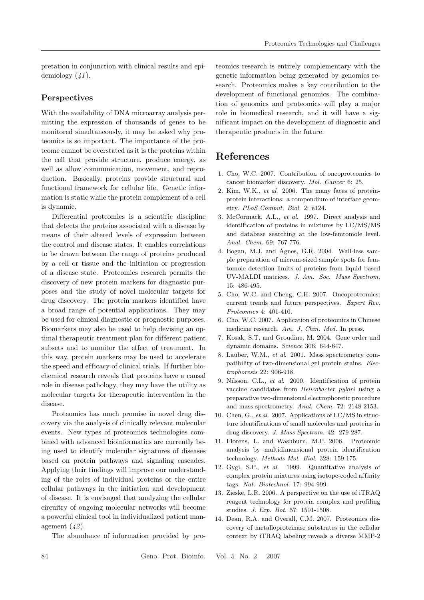pretation in conjunction with clinical results and epidemiology (*41* ).

### **Perspectives**

With the availability of DNA microarray analysis permitting the expression of thousands of genes to be monitored simultaneously, it may be asked why proteomics is so important. The importance of the proteome cannot be overstated as it is the proteins within the cell that provide structure, produce energy, as well as allow communication, movement, and reproduction. Basically, proteins provide structural and functional framework for cellular life. Genetic information is static while the protein complement of a cell is dynamic.

Differential proteomics is a scientific discipline that detects the proteins associated with a disease by means of their altered levels of expression between the control and disease states. It enables correlations to be drawn between the range of proteins produced by a cell or tissue and the initiation or progression of a disease state. Proteomics research permits the discovery of new protein markers for diagnostic purposes and the study of novel molecular targets for drug discovery. The protein markers identified have a broad range of potential applications. They may be used for clinical diagnostic or prognostic purposes. Biomarkers may also be used to help devising an optimal therapeutic treatment plan for different patient subsets and to monitor the effect of treatment. In this way, protein markers may be used to accelerate the speed and efficacy of clinical trials. If further biochemical research reveals that proteins have a causal role in disease pathology, they may have the utility as molecular targets for therapeutic intervention in the disease.

Proteomics has much promise in novel drug discovery via the analysis of clinically relevant molecular events. New types of proteomics technologies combined with advanced bioinformatics are currently being used to identify molecular signatures of diseases based on protein pathways and signaling cascades. Applying their findings will improve our understanding of the roles of individual proteins or the entire cellular pathways in the initiation and development of disease. It is envisaged that analyzing the cellular circuitry of ongoing molecular networks will become a powerful clinical tool in individualized patient management (*42* ).

The abundance of information provided by pro-

teomics research is entirely complementary with the genetic information being generated by genomics research. Proteomics makes a key contribution to the development of functional genomics. The combination of genomics and proteomics will play a major role in biomedical research, and it will have a significant impact on the development of diagnostic and therapeutic products in the future.

# **References**

- 1. Cho, W.C. 2007. Contribution of oncoproteomics to cancer biomarker discovery. *Mol. Cancer* 6: 25.
- 2. Kim, W.K., *et al*. 2006. The many faces of proteinprotein interactions: a compendium of interface geometry. *PLoS Comput. Biol.* 2: e124.
- 3. McCormack, A.L., *et al*. 1997. Direct analysis and identification of proteins in mixtures by LC/MS/MS and database searching at the low-femtomole level. *Anal. Chem.* 69: 767-776.
- 4. Bogan, M.J. and Agnes, G.R. 2004. Wall-less sample preparation of microm-sized sample spots for femtomole detection limits of proteins from liquid based UV-MALDI matrices. *J. Am. Soc. Mass Spectrom.* 15: 486-495.
- 5. Cho, W.C. and Cheng, C.H. 2007. Oncoproteomics: current trends and future perspectives. *Expert Rev. Proteomics* 4: 401-410.
- 6. Cho, W.C. 2007. Application of proteomics in Chinese medicine research. *Am. J. Chin. Med.* In press.
- 7. Kosak, S.T. and Groudine, M. 2004. Gene order and dynamic domains. *Science* 306: 644-647.
- 8. Lauber, W.M., *et al*. 2001. Mass spectrometry compatibility of two-dimensional gel protein stains. *Electrophoresis* 22: 906-918.
- 9. Nilsson, C.L., *et al*. 2000. Identification of protein vaccine candidates from *Helicobacter pylori* using a preparative two-dimensional electrophoretic procedure and mass spectrometry. *Anal. Chem.* 72: 2148-2153.
- 10. Chen, G., *et al*. 2007. Applications of LC/MS in structure identifications of small molecules and proteins in drug discovery. *J. Mass Spectrom.* 42: 279-287.
- 11. Florens, L. and Washburn, M.P. 2006. Proteomic analysis by multidimensional protein identification technology. *Methods Mol. Biol.* 328: 159-175.
- 12. Gygi, S.P., *et al*. 1999. Quantitative analysis of complex protein mixtures using isotope-coded affinity tags. *Nat. Biotechnol.* 17: 994-999.
- 13. Zieske, L.R. 2006. A perspective on the use of iTRAQ reagent technology for protein complex and profiling studies. *J. Exp. Bot.* 57: 1501-1508.
- 14. Dean, R.A. and Overall, C.M. 2007. Proteomics discovery of metalloproteinase substrates in the cellular context by iTRAQ labeling reveals a diverse MMP-2

84 Geno. Prot. Bioinfo. Vol. 5 No. 2 2007